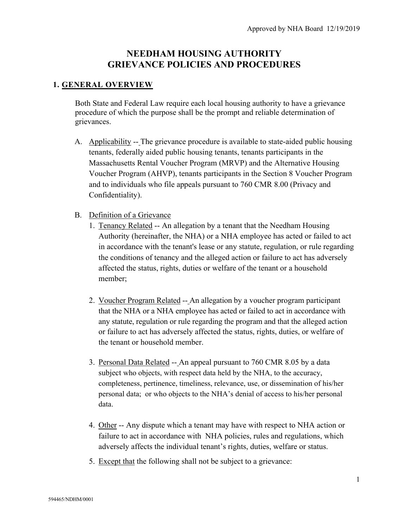# **NEEDHAM HOUSING AUTHORITY GRIEVANCE POLICIES AND PROCEDURES**

#### **1. GENERAL OVERVIEW**

Both State and Federal Law require each local housing authority to have a grievance procedure of which the purpose shall be the prompt and reliable determination of grievances.

- A. Applicability -- The grievance procedure is available to state-aided public housing tenants, federally aided public housing tenants, tenants participants in the Massachusetts Rental Voucher Program (MRVP) and the Alternative Housing Voucher Program (AHVP), tenants participants in the Section 8 Voucher Program and to individuals who file appeals pursuant to 760 CMR 8.00 (Privacy and Confidentiality).
- B. Definition of a Grievance
	- 1. Tenancy Related -- An allegation by a tenant that the Needham Housing Authority (hereinafter, the NHA) or a NHA employee has acted or failed to act in accordance with the tenant's lease or any statute, regulation, or rule regarding the conditions of tenancy and the alleged action or failure to act has adversely affected the status, rights, duties or welfare of the tenant or a household member;
	- 2. Voucher Program Related -- An allegation by a voucher program participant that the NHA or a NHA employee has acted or failed to act in accordance with any statute, regulation or rule regarding the program and that the alleged action or failure to act has adversely affected the status, rights, duties, or welfare of the tenant or household member.
	- 3. Personal Data Related -- An appeal pursuant to 760 CMR 8.05 by a data subject who objects, with respect data held by the NHA, to the accuracy, completeness, pertinence, timeliness, relevance, use, or dissemination of his/her personal data; or who objects to the NHA's denial of access to his/her personal data.
	- 4. Other -- Any dispute which a tenant may have with respect to NHA action or failure to act in accordance with NHA policies, rules and regulations, which adversely affects the individual tenant's rights, duties, welfare or status.
	- 5. Except that the following shall not be subject to a grievance: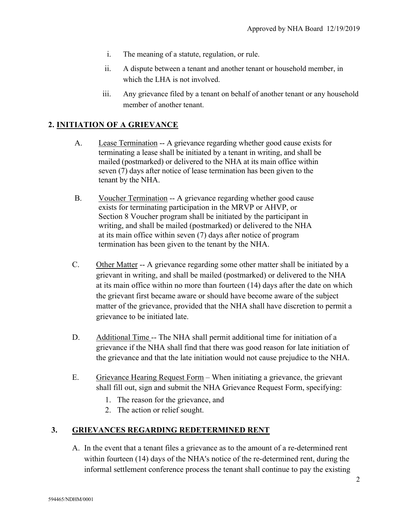- i. The meaning of a statute, regulation, or rule.
- ii. A dispute between a tenant and another tenant or household member, in which the LHA is not involved.
- iii. Any grievance filed by a tenant on behalf of another tenant or any household member of another tenant.

# **2. INITIATION OF A GRIEVANCE**

- A. Lease Termination -- A grievance regarding whether good cause exists for terminating a lease shall be initiated by a tenant in writing, and shall be mailed (postmarked) or delivered to the NHA at its main office within seven (7) days after notice of lease termination has been given to the tenant by the NHA.
- B. Voucher Termination -- A grievance regarding whether good cause exists for terminating participation in the MRVP or AHVP, or Section 8 Voucher program shall be initiated by the participant in writing, and shall be mailed (postmarked) or delivered to the NHA at its main office within seven (7) days after notice of program termination has been given to the tenant by the NHA.
- C. Other Matter -- A grievance regarding some other matter shall be initiated by a grievant in writing, and shall be mailed (postmarked) or delivered to the NHA at its main office within no more than fourteen (14) days after the date on which the grievant first became aware or should have become aware of the subject matter of the grievance, provided that the NHA shall have discretion to permit a grievance to be initiated late.
- D. Additional Time -- The NHA shall permit additional time for initiation of a grievance if the NHA shall find that there was good reason for late initiation of the grievance and that the late initiation would not cause prejudice to the NHA.
- E. Grievance Hearing Request Form When initiating a grievance, the grievant shall fill out, sign and submit the NHA Grievance Request Form, specifying:
	- 1. The reason for the grievance, and
	- 2. The action or relief sought.

## **3. GRIEVANCES REGARDING REDETERMINED RENT**

A. In the event that a tenant files a grievance as to the amount of a re-determined rent within fourteen (14) days of the NHA's notice of the re-determined rent, during the informal settlement conference process the tenant shall continue to pay the existing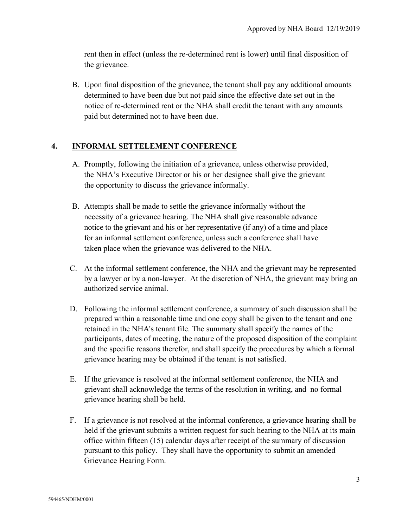rent then in effect (unless the re-determined rent is lower) until final disposition of the grievance.

B. Upon final disposition of the grievance, the tenant shall pay any additional amounts determined to have been due but not paid since the effective date set out in the notice of re-determined rent or the NHA shall credit the tenant with any amounts paid but determined not to have been due.

## **4. INFORMAL SETTELEMENT CONFERENCE**

- A. Promptly, following the initiation of a grievance, unless otherwise provided, the NHA's Executive Director or his or her designee shall give the grievant the opportunity to discuss the grievance informally.
- B. Attempts shall be made to settle the grievance informally without the necessity of a grievance hearing. The NHA shall give reasonable advance notice to the grievant and his or her representative (if any) of a time and place for an informal settlement conference, unless such a conference shall have taken place when the grievance was delivered to the NHA.
- C. At the informal settlement conference, the NHA and the grievant may be represented by a lawyer or by a non-lawyer. At the discretion of NHA, the grievant may bring an authorized service animal.
- D. Following the informal settlement conference, a summary of such discussion shall be prepared within a reasonable time and one copy shall be given to the tenant and one retained in the NHA's tenant file. The summary shall specify the names of the participants, dates of meeting, the nature of the proposed disposition of the complaint and the specific reasons therefor, and shall specify the procedures by which a formal grievance hearing may be obtained if the tenant is not satisfied.
- E. If the grievance is resolved at the informal settlement conference, the NHA and grievant shall acknowledge the terms of the resolution in writing, and no formal grievance hearing shall be held.
- F. If a grievance is not resolved at the informal conference, a grievance hearing shall be held if the grievant submits a written request for such hearing to the NHA at its main office within fifteen (15) calendar days after receipt of the summary of discussion pursuant to this policy. They shall have the opportunity to submit an amended Grievance Hearing Form.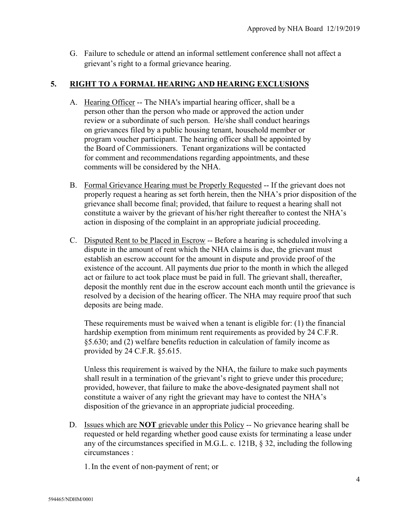G. Failure to schedule or attend an informal settlement conference shall not affect a grievant's right to a formal grievance hearing.

## **5. RIGHT TO A FORMAL HEARING AND HEARING EXCLUSIONS**

- A. Hearing Officer -- The NHA's impartial hearing officer, shall be a person other than the person who made or approved the action under review or a subordinate of such person. He/she shall conduct hearings on grievances filed by a public housing tenant, household member or program voucher participant. The hearing officer shall be appointed by the Board of Commissioners. Tenant organizations will be contacted for comment and recommendations regarding appointments, and these comments will be considered by the NHA.
- B. Formal Grievance Hearing must be Properly Requested -- If the grievant does not properly request a hearing as set forth herein, then the NHA's prior disposition of the grievance shall become final; provided, that failure to request a hearing shall not constitute a waiver by the grievant of his/her right thereafter to contest the NHA's action in disposing of the complaint in an appropriate judicial proceeding.
- C. Disputed Rent to be Placed in Escrow -- Before a hearing is scheduled involving a dispute in the amount of rent which the NHA claims is due, the grievant must establish an escrow account for the amount in dispute and provide proof of the existence of the account. All payments due prior to the month in which the alleged act or failure to act took place must be paid in full. The grievant shall, thereafter, deposit the monthly rent due in the escrow account each month until the grievance is resolved by a decision of the hearing officer. The NHA may require proof that such deposits are being made.

These requirements must be waived when a tenant is eligible for: (1) the financial hardship exemption from minimum rent requirements as provided by 24 C.F.R. §5.630; and (2) welfare benefits reduction in calculation of family income as provided by 24 C.F.R. §5.615.

Unless this requirement is waived by the NHA, the failure to make such payments shall result in a termination of the grievant's right to grieve under this procedure; provided, however, that failure to make the above-designated payment shall not constitute a waiver of any right the grievant may have to contest the NHA's disposition of the grievance in an appropriate judicial proceeding.

D. Issues which are **NOT** grievable under this Policy -- No grievance hearing shall be requested or held regarding whether good cause exists for terminating a lease under any of the circumstances specified in M.G.L. c. 121B, § 32, including the following circumstances :

1.In the event of non-payment of rent; or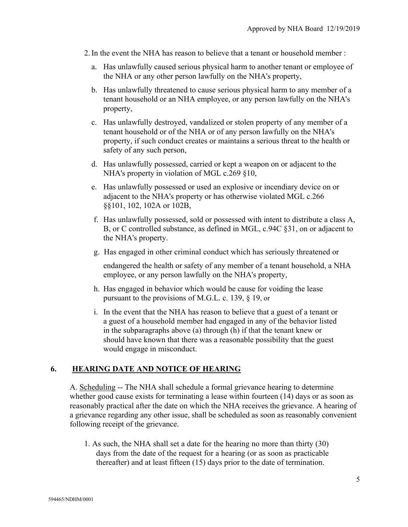- 2.In the event the NHA has reason to believe that a tenant or household member :
	- a. Has unlawfully caused serious physical harm to another tenant or employee of the NHA or any other person lawfully on the NHA's property,
	- b. Has unlawfully threatened to cause serious physical harm to any member of a tenant household or an NHA employee, or any person lawfully on the NHA's property,
	- c. Has unlawfully destroyed, vandalized or stolen property of any member of a tenant household or of the NHA or of any person lawfully on the NHA's property, if such conduct creates or maintains a serious threat to the health or safety of any such person,
	- d. Has unlawfully possessed, carried or kept a weapon on or adjacent to the NHA's property in violation of MGL c.269 §10,
	- e. Has unlawfully possessed or used an explosive or incendiary device on or adjacent to the NHA's property or has otherwise violated MGL c.266 §§101, 102, 102A or 102B,
	- f. Has unlawfully possessed, sold or possessed with intent to distribute a class A, B, or C controlled substance, as defined in MGL, c.94C §31, on or adjacent to the NHA's property.
	- g. Has engaged in other criminal conduct which has seriously threatened or

endangered the health or safety of any member of a tenant household, a NHA employee, or any person lawfully on the NHA's property,

- h. Has engaged in behavior which would be cause for voiding the lease pursuant to the provisions of M.G.L. c. 139, § 19, or
- i. In the event that the NHA has reason to believe that a guest of a tenant or a guest of a household member had engaged in any of the behavior listed in the subparagraphs above (a) through (h) if that the tenant knew or should have known that there was a reasonable possibility that the guest would engage in misconduct.

## **6. HEARING DATE AND NOTICE OF HEARING**

A. Scheduling -- The NHA shall schedule a formal grievance hearing to determine whether good cause exists for terminating a lease within fourteen (14) days or as soon as reasonably practical after the date on which the NHA receives the grievance. A hearing of a grievance regarding any other issue, shall be scheduled as soon as reasonably convenient following receipt of the grievance.

1. As such, the NHA shall set a date for the hearing no more than thirty (30) days from the date of the request for a hearing (or as soon as practicable thereafter) and at least fifteen (15) days prior to the date of termination.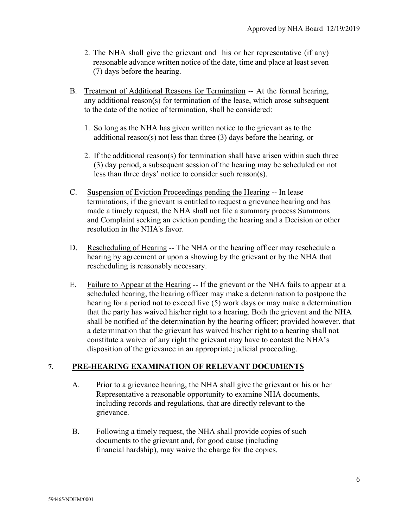- 2. The NHA shall give the grievant and his or her representative (if any) reasonable advance written notice of the date, time and place at least seven (7) days before the hearing.
- B. Treatment of Additional Reasons for Termination -- At the formal hearing, any additional reason(s) for termination of the lease, which arose subsequent to the date of the notice of termination, shall be considered:
	- 1. So long as the NHA has given written notice to the grievant as to the additional reason(s) not less than three (3) days before the hearing, or
	- 2. If the additional reason(s) for termination shall have arisen within such three (3) day period, a subsequent session of the hearing may be scheduled on not less than three days' notice to consider such reason(s).
- C. Suspension of Eviction Proceedings pending the Hearing -- In lease terminations, if the grievant is entitled to request a grievance hearing and has made a timely request, the NHA shall not file a summary process Summons and Complaint seeking an eviction pending the hearing and a Decision or other resolution in the NHA's favor.
- D. Rescheduling of Hearing -- The NHA or the hearing officer may reschedule a hearing by agreement or upon a showing by the grievant or by the NHA that rescheduling is reasonably necessary.
- E. Failure to Appear at the Hearing -- If the grievant or the NHA fails to appear at a scheduled hearing, the hearing officer may make a determination to postpone the hearing for a period not to exceed five (5) work days or may make a determination that the party has waived his/her right to a hearing. Both the grievant and the NHA shall be notified of the determination by the hearing officer; provided however, that a determination that the grievant has waived his/her right to a hearing shall not constitute a waiver of any right the grievant may have to contest the NHA's disposition of the grievance in an appropriate judicial proceeding.

## **7. PRE-HEARING EXAMINATION OF RELEVANT DOCUMENTS**

- A. Prior to a grievance hearing, the NHA shall give the grievant or his or her Representative a reasonable opportunity to examine NHA documents, including records and regulations, that are directly relevant to the grievance.
- B. Following a timely request, the NHA shall provide copies of such documents to the grievant and, for good cause (including financial hardship), may waive the charge for the copies.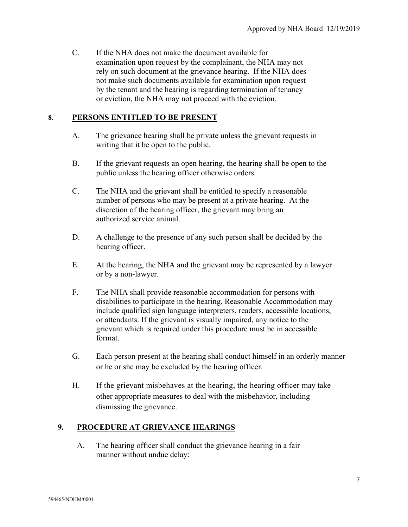C. If the NHA does not make the document available for examination upon request by the complainant, the NHA may not rely on such document at the grievance hearing. If the NHA does not make such documents available for examination upon request by the tenant and the hearing is regarding termination of tenancy or eviction, the NHA may not proceed with the eviction.

#### **8. PERSONS ENTITLED TO BE PRESENT**

- A. The grievance hearing shall be private unless the grievant requests in writing that it be open to the public.
- B. If the grievant requests an open hearing, the hearing shall be open to the public unless the hearing officer otherwise orders.
- C. The NHA and the grievant shall be entitled to specify a reasonable number of persons who may be present at a private hearing. At the discretion of the hearing officer, the grievant may bring an authorized service animal.
- D. A challenge to the presence of any such person shall be decided by the hearing officer.
- E. At the hearing, the NHA and the grievant may be represented by a lawyer or by a non-lawyer.
- F. The NHA shall provide reasonable accommodation for persons with disabilities to participate in the hearing. Reasonable Accommodation may include qualified sign language interpreters, readers, accessible locations, or attendants. If the grievant is visually impaired, any notice to the grievant which is required under this procedure must be in accessible format.
- G. Each person present at the hearing shall conduct himself in an orderly manner or he or she may be excluded by the hearing officer.
- H. If the grievant misbehaves at the hearing, the hearing officer may take other appropriate measures to deal with the misbehavior, including dismissing the grievance.

## **9. PROCEDURE AT GRIEVANCE HEARINGS**

A. The hearing officer shall conduct the grievance hearing in a fair manner without undue delay: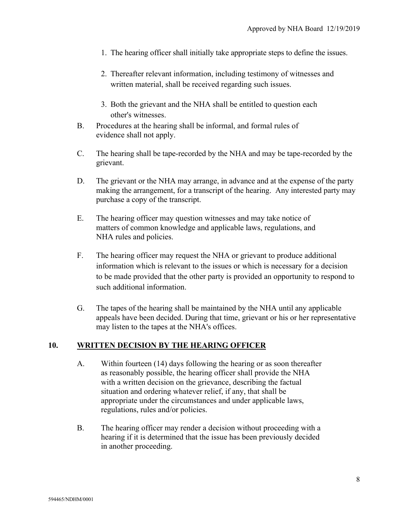- 1. The hearing officer shall initially take appropriate steps to define the issues.
- 2. Thereafter relevant information, including testimony of witnesses and written material, shall be received regarding such issues.
- 3. Both the grievant and the NHA shall be entitled to question each other's witnesses.
- B. Procedures at the hearing shall be informal, and formal rules of evidence shall not apply.
- C. The hearing shall be tape-recorded by the NHA and may be tape-recorded by the grievant.
- D. The grievant or the NHA may arrange, in advance and at the expense of the party making the arrangement, for a transcript of the hearing. Any interested party may purchase a copy of the transcript.
- E. The hearing officer may question witnesses and may take notice of matters of common knowledge and applicable laws, regulations, and NHA rules and policies.
- F. The hearing officer may request the NHA or grievant to produce additional information which is relevant to the issues or which is necessary for a decision to be made provided that the other party is provided an opportunity to respond to such additional information.
- G. The tapes of the hearing shall be maintained by the NHA until any applicable appeals have been decided. During that time, grievant or his or her representative may listen to the tapes at the NHA's offices.

#### **10. WRITTEN DECISION BY THE HEARING OFFICER**

- A. Within fourteen (14) days following the hearing or as soon thereafter as reasonably possible, the hearing officer shall provide the NHA with a written decision on the grievance, describing the factual situation and ordering whatever relief, if any, that shall be appropriate under the circumstances and under applicable laws, regulations, rules and/or policies.
- B. The hearing officer may render a decision without proceeding with a hearing if it is determined that the issue has been previously decided in another proceeding.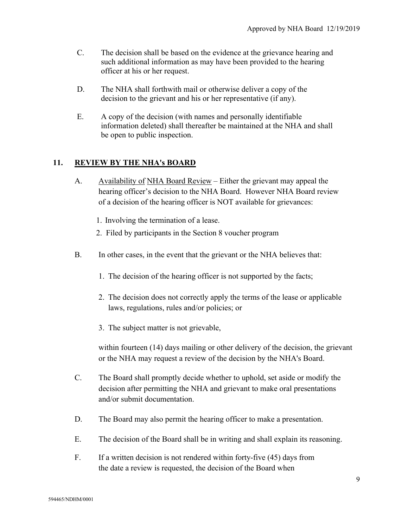- C. The decision shall be based on the evidence at the grievance hearing and such additional information as may have been provided to the hearing officer at his or her request.
- D. The NHA shall forthwith mail or otherwise deliver a copy of the decision to the grievant and his or her representative (if any).
- E. A copy of the decision (with names and personally identifiable information deleted) shall thereafter be maintained at the NHA and shall be open to public inspection.

## **11. REVIEW BY THE NHA's BOARD**

- A. Availability of NHA Board Review Either the grievant may appeal the hearing officer's decision to the NHA Board. However NHA Board review of a decision of the hearing officer is NOT available for grievances:
	- 1. Involving the termination of a lease.
	- 2. Filed by participants in the Section 8 voucher program
- B. In other cases, in the event that the grievant or the NHA believes that:
	- 1. The decision of the hearing officer is not supported by the facts;
	- 2. The decision does not correctly apply the terms of the lease or applicable laws, regulations, rules and/or policies; or
	- 3. The subject matter is not grievable,

within fourteen (14) days mailing or other delivery of the decision, the grievant or the NHA may request a review of the decision by the NHA's Board.

- C. The Board shall promptly decide whether to uphold, set aside or modify the decision after permitting the NHA and grievant to make oral presentations and/or submit documentation.
- D. The Board may also permit the hearing officer to make a presentation.
- E. The decision of the Board shall be in writing and shall explain its reasoning.
- F. If a written decision is not rendered within forty-five (45) days from the date a review is requested, the decision of the Board when